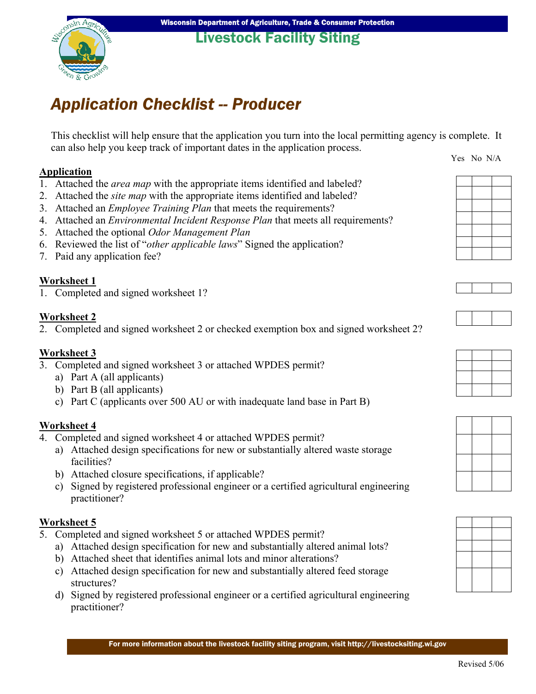### Livestock Facility Siting

# *Application Checklist -- Producer*

This checklist will help ensure that the application you turn into the local permitting agency is complete. It can also help you keep track of important dates in the application process. Yes No N/A

**Application**

- 1. Attached the *area map* with the appropriate items identified and labeled?
- 2. Attached the *site map* with the appropriate items identified and labeled?
- 3. Attached an *Employee Training Plan* that meets the requirements?
- 4. Attached an *Environmental Incident Response Plan* that meets all requirements?
- 5. Attached the optional *Odor Management Plan*
- 6. Reviewed the list of "*other applicable laws*" Signed the application?
- 7. Paid any application fee?

#### **Worksheet 1**

1. Completed and signed worksheet 1?

#### **Worksheet 2**

2. Completed and signed worksheet 2 or checked exemption box and signed worksheet 2?

#### **Worksheet 3**

- 3. Completed and signed worksheet 3 or attached WPDES permit?
	- a) Part A (all applicants)
	- b) Part B (all applicants)
	- c) Part C (applicants over 500 AU or with inadequate land base in Part B)

#### **Worksheet 4**

- 4. Completed and signed worksheet 4 or attached WPDES permit?
	- a) Attached design specifications for new or substantially altered waste storage facilities?
	- b) Attached closure specifications, if applicable?
	- c) Signed by registered professional engineer or a certified agricultural engineering practitioner?

#### **Worksheet 5**

- 5. Completed and signed worksheet 5 or attached WPDES permit?
	- a) Attached design specification for new and substantially altered animal lots?
	- b) Attached sheet that identifies animal lots and minor alterations?
	- c) Attached design specification for new and substantially altered feed storage structures?
	- d) Signed by registered professional engineer or a certified agricultural engineering practitioner?